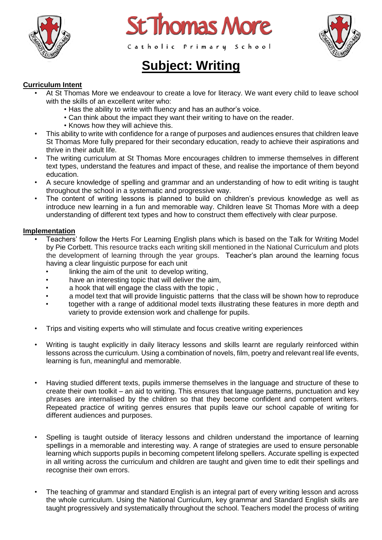





# **Subject: Writing**

## **Curriculum Intent**

- At St Thomas More we endeavour to create a love for literacy. We want every child to leave school with the skills of an excellent writer who:
	- Has the ability to write with fluency and has an author's voice.
	- Can think about the impact they want their writing to have on the reader.
	- Knows how they will achieve this.
- This ability to write with confidence for a range of purposes and audiences ensures that children leave St Thomas More fully prepared for their secondary education, ready to achieve their aspirations and thrive in their adult life.
- The writing curriculum at St Thomas More encourages children to immerse themselves in different text types, understand the features and impact of these, and realise the importance of them beyond education.
- A secure knowledge of spelling and grammar and an understanding of how to edit writing is taught throughout the school in a systematic and progressive way.
- The content of writing lessons is planned to build on children's previous knowledge as well as introduce new learning in a fun and memorable way. Children leave St Thomas More with a deep understanding of different text types and how to construct them effectively with clear purpose.

#### **Implementation**

- Teachers' follow the Herts For Learning English plans which is based on the Talk for Writing Model by Pie Corbett. This resource tracks each writing skill mentioned in the National Curriculum and plots the development of learning through the year groups. Teacher's plan around the learning focus having a clear linguistic purpose for each unit
	- linking the aim of the unit to develop writing.
	- have an interesting topic that will deliver the aim,
	- a hook that will engage the class with the topic ,
	- a model text that will provide linguistic patterns that the class will be shown how to reproduce
	- together with a range of additional model texts illustrating these features in more depth and variety to provide extension work and challenge for pupils.
- Trips and visiting experts who will stimulate and focus creative writing experiences
- Writing is taught explicitly in daily literacy lessons and skills learnt are regularly reinforced within lessons across the curriculum. Using a combination of novels, film, poetry and relevant real life events, learning is fun, meaningful and memorable.
- Having studied different texts, pupils immerse themselves in the language and structure of these to create their own toolkit – an aid to writing. This ensures that language patterns, punctuation and key phrases are internalised by the children so that they become confident and competent writers. Repeated practice of writing genres ensures that pupils leave our school capable of writing for different audiences and purposes.
- Spelling is taught outside of literacy lessons and children understand the importance of learning spellings in a memorable and interesting way. A range of strategies are used to ensure personable learning which supports pupils in becoming competent lifelong spellers. Accurate spelling is expected in all writing across the curriculum and children are taught and given time to edit their spellings and recognise their own errors.
- The teaching of grammar and standard English is an integral part of every writing lesson and across the whole curriculum. Using the National Curriculum, key grammar and Standard English skills are taught progressively and systematically throughout the school. Teachers model the process of writing